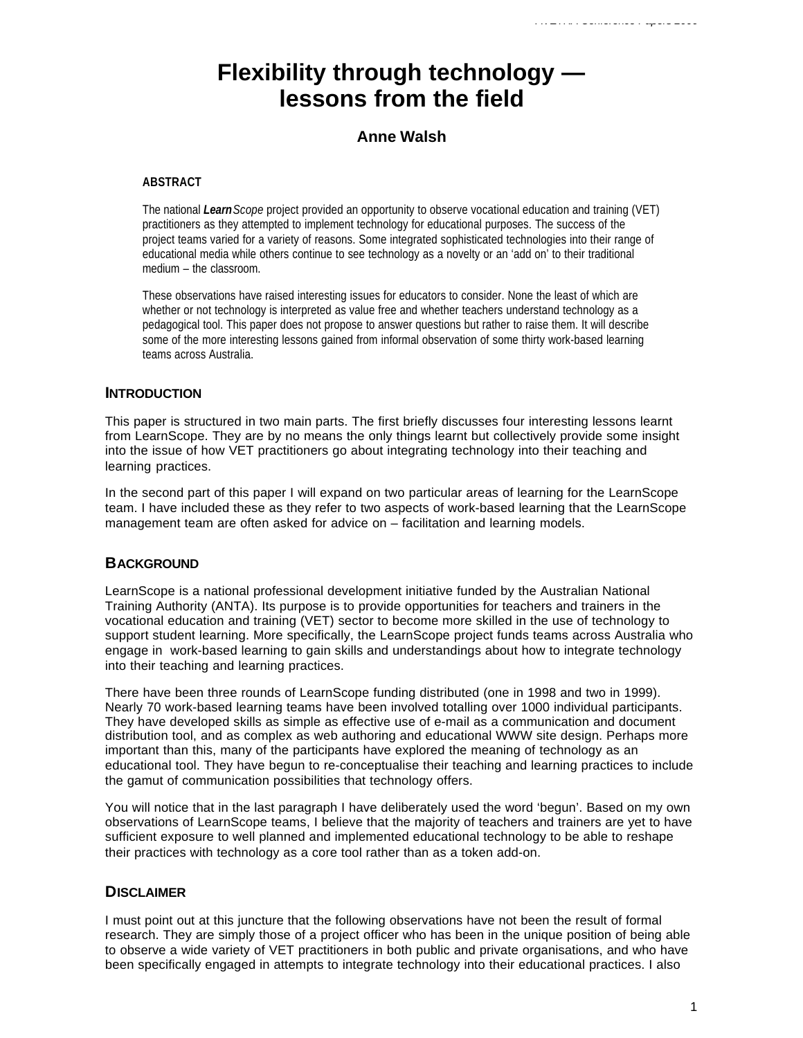# **Flexibility through technology lessons from the field**

## **Anne Walsh**

#### **ABSTRACT**

The national *LearnScope* project provided an opportunity to observe vocational education and training (VET) practitioners as they attempted to implement technology for educational purposes. The success of the project teams varied for a variety of reasons. Some integrated sophisticated technologies into their range of educational media while others continue to see technology as a novelty or an 'add on' to their traditional medium – the classroom.

These observations have raised interesting issues for educators to consider. None the least of which are whether or not technology is interpreted as value free and whether teachers understand technology as a pedagogical tool. This paper does not propose to answer questions but rather to raise them. It will describe some of the more interesting lessons gained from informal observation of some thirty work-based learning teams across Australia.

### **INTRODUCTION**

This paper is structured in two main parts. The first briefly discusses four interesting lessons learnt from LearnScope. They are by no means the only things learnt but collectively provide some insight into the issue of how VET practitioners go about integrating technology into their teaching and learning practices.

In the second part of this paper I will expand on two particular areas of learning for the LearnScope team. I have included these as they refer to two aspects of work-based learning that the LearnScope management team are often asked for advice on – facilitation and learning models.

### **BACKGROUND**

LearnScope is a national professional development initiative funded by the Australian National Training Authority (ANTA). Its purpose is to provide opportunities for teachers and trainers in the vocational education and training (VET) sector to become more skilled in the use of technology to support student learning. More specifically, the LearnScope project funds teams across Australia who engage in work-based learning to gain skills and understandings about how to integrate technology into their teaching and learning practices.

There have been three rounds of LearnScope funding distributed (one in 1998 and two in 1999). Nearly 70 work-based learning teams have been involved totalling over 1000 individual participants. They have developed skills as simple as effective use of e-mail as a communication and document distribution tool, and as complex as web authoring and educational WWW site design. Perhaps more important than this, many of the participants have explored the meaning of technology as an educational tool. They have begun to re-conceptualise their teaching and learning practices to include the gamut of communication possibilities that technology offers.

You will notice that in the last paragraph I have deliberately used the word 'begun'. Based on my own observations of LearnScope teams, I believe that the majority of teachers and trainers are yet to have sufficient exposure to well planned and implemented educational technology to be able to reshape their practices with technology as a core tool rather than as a token add-on.

### **DISCLAIMER**

I must point out at this juncture that the following observations have not been the result of formal research. They are simply those of a project officer who has been in the unique position of being able to observe a wide variety of VET practitioners in both public and private organisations, and who have been specifically engaged in attempts to integrate technology into their educational practices. I also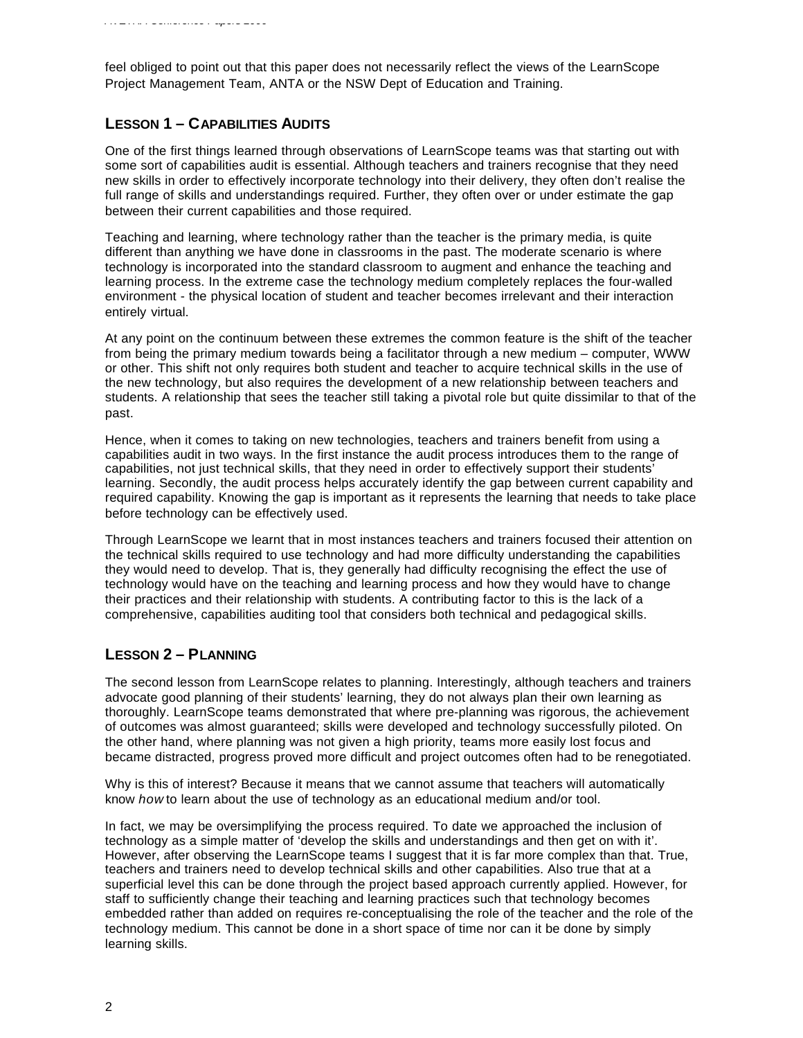feel obliged to point out that this paper does not necessarily reflect the views of the LearnScope Project Management Team, ANTA or the NSW Dept of Education and Training.

# **LESSON 1 – CAPABILITIES AUDITS**

One of the first things learned through observations of LearnScope teams was that starting out with some sort of capabilities audit is essential. Although teachers and trainers recognise that they need new skills in order to effectively incorporate technology into their delivery, they often don't realise the full range of skills and understandings required. Further, they often over or under estimate the gap between their current capabilities and those required.

Teaching and learning, where technology rather than the teacher is the primary media, is quite different than anything we have done in classrooms in the past. The moderate scenario is where technology is incorporated into the standard classroom to augment and enhance the teaching and learning process. In the extreme case the technology medium completely replaces the four-walled environment - the physical location of student and teacher becomes irrelevant and their interaction entirely virtual.

At any point on the continuum between these extremes the common feature is the shift of the teacher from being the primary medium towards being a facilitator through a new medium – computer, WWW or other. This shift not only requires both student and teacher to acquire technical skills in the use of the new technology, but also requires the development of a new relationship between teachers and students. A relationship that sees the teacher still taking a pivotal role but quite dissimilar to that of the past.

Hence, when it comes to taking on new technologies, teachers and trainers benefit from using a capabilities audit in two ways. In the first instance the audit process introduces them to the range of capabilities, not just technical skills, that they need in order to effectively support their students' learning. Secondly, the audit process helps accurately identify the gap between current capability and required capability. Knowing the gap is important as it represents the learning that needs to take place before technology can be effectively used.

Through LearnScope we learnt that in most instances teachers and trainers focused their attention on the technical skills required to use technology and had more difficulty understanding the capabilities they would need to develop. That is, they generally had difficulty recognising the effect the use of technology would have on the teaching and learning process and how they would have to change their practices and their relationship with students. A contributing factor to this is the lack of a comprehensive, capabilities auditing tool that considers both technical and pedagogical skills.

## **LESSON 2 – PLANNING**

The second lesson from LearnScope relates to planning. Interestingly, although teachers and trainers advocate good planning of their students' learning, they do not always plan their own learning as thoroughly. LearnScope teams demonstrated that where pre-planning was rigorous, the achievement of outcomes was almost guaranteed; skills were developed and technology successfully piloted. On the other hand, where planning was not given a high priority, teams more easily lost focus and became distracted, progress proved more difficult and project outcomes often had to be renegotiated.

Why is this of interest? Because it means that we cannot assume that teachers will automatically know *how* to learn about the use of technology as an educational medium and/or tool.

In fact, we may be oversimplifying the process required. To date we approached the inclusion of technology as a simple matter of 'develop the skills and understandings and then get on with it'. However, after observing the LearnScope teams I suggest that it is far more complex than that. True, teachers and trainers need to develop technical skills and other capabilities. Also true that at a superficial level this can be done through the project based approach currently applied. However, for staff to sufficiently change their teaching and learning practices such that technology becomes embedded rather than added on requires re-conceptualising the role of the teacher and the role of the technology medium. This cannot be done in a short space of time nor can it be done by simply learning skills.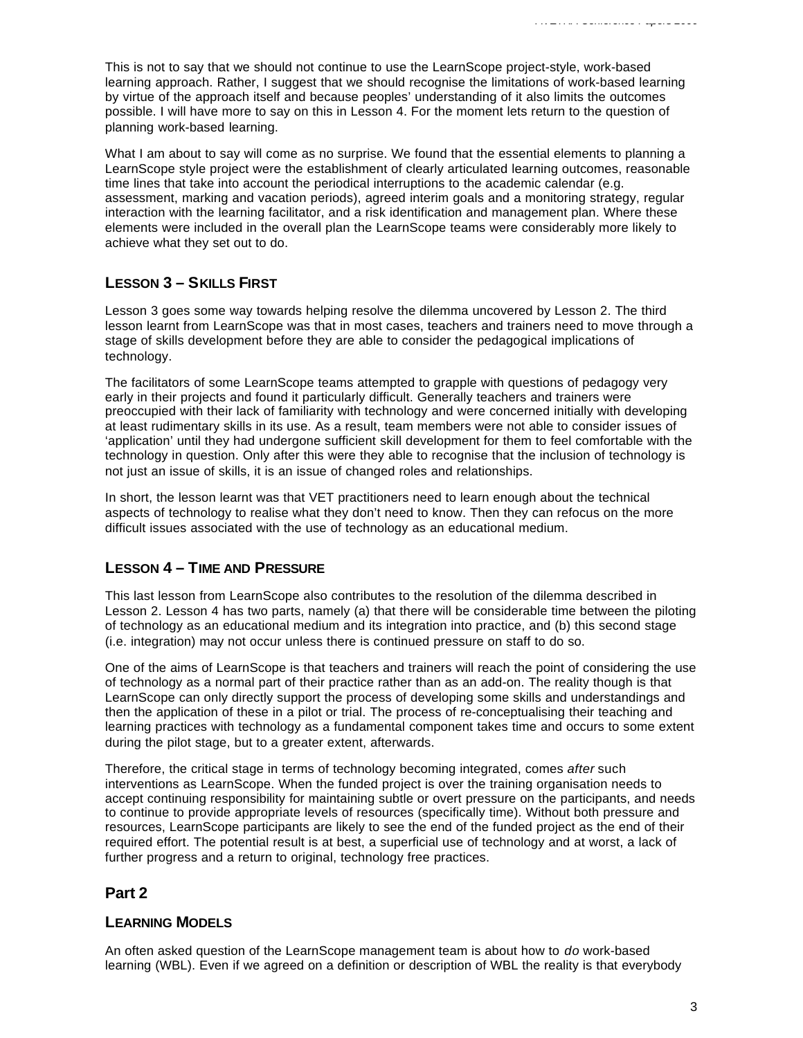This is not to say that we should not continue to use the LearnScope project-style, work-based learning approach. Rather, I suggest that we should recognise the limitations of work-based learning by virtue of the approach itself and because peoples' understanding of it also limits the outcomes possible. I will have more to say on this in Lesson 4. For the moment lets return to the question of planning work-based learning.

What I am about to say will come as no surprise. We found that the essential elements to planning a LearnScope style project were the establishment of clearly articulated learning outcomes, reasonable time lines that take into account the periodical interruptions to the academic calendar (e.g. assessment, marking and vacation periods), agreed interim goals and a monitoring strategy, regular interaction with the learning facilitator, and a risk identification and management plan. Where these elements were included in the overall plan the LearnScope teams were considerably more likely to achieve what they set out to do.

# **LESSON 3 – SKILLS FIRST**

Lesson 3 goes some way towards helping resolve the dilemma uncovered by Lesson 2. The third lesson learnt from LearnScope was that in most cases, teachers and trainers need to move through a stage of skills development before they are able to consider the pedagogical implications of technology.

The facilitators of some LearnScope teams attempted to grapple with questions of pedagogy very early in their projects and found it particularly difficult. Generally teachers and trainers were preoccupied with their lack of familiarity with technology and were concerned initially with developing at least rudimentary skills in its use. As a result, team members were not able to consider issues of 'application' until they had undergone sufficient skill development for them to feel comfortable with the technology in question. Only after this were they able to recognise that the inclusion of technology is not just an issue of skills, it is an issue of changed roles and relationships.

In short, the lesson learnt was that VET practitioners need to learn enough about the technical aspects of technology to realise what they don't need to know. Then they can refocus on the more difficult issues associated with the use of technology as an educational medium.

## **LESSON 4 – TIME AND PRESSURE**

This last lesson from LearnScope also contributes to the resolution of the dilemma described in Lesson 2. Lesson 4 has two parts, namely (a) that there will be considerable time between the piloting of technology as an educational medium and its integration into practice, and (b) this second stage (i.e. integration) may not occur unless there is continued pressure on staff to do so.

One of the aims of LearnScope is that teachers and trainers will reach the point of considering the use of technology as a normal part of their practice rather than as an add-on. The reality though is that LearnScope can only directly support the process of developing some skills and understandings and then the application of these in a pilot or trial. The process of re-conceptualising their teaching and learning practices with technology as a fundamental component takes time and occurs to some extent during the pilot stage, but to a greater extent, afterwards.

Therefore, the critical stage in terms of technology becoming integrated, comes *after* such interventions as LearnScope. When the funded project is over the training organisation needs to accept continuing responsibility for maintaining subtle or overt pressure on the participants, and needs to continue to provide appropriate levels of resources (specifically time). Without both pressure and resources, LearnScope participants are likely to see the end of the funded project as the end of their required effort. The potential result is at best, a superficial use of technology and at worst, a lack of further progress and a return to original, technology free practices.

# **Part 2**

## **LEARNING MODELS**

An often asked question of the LearnScope management team is about how to *do* work-based learning (WBL). Even if we agreed on a definition or description of WBL the reality is that everybody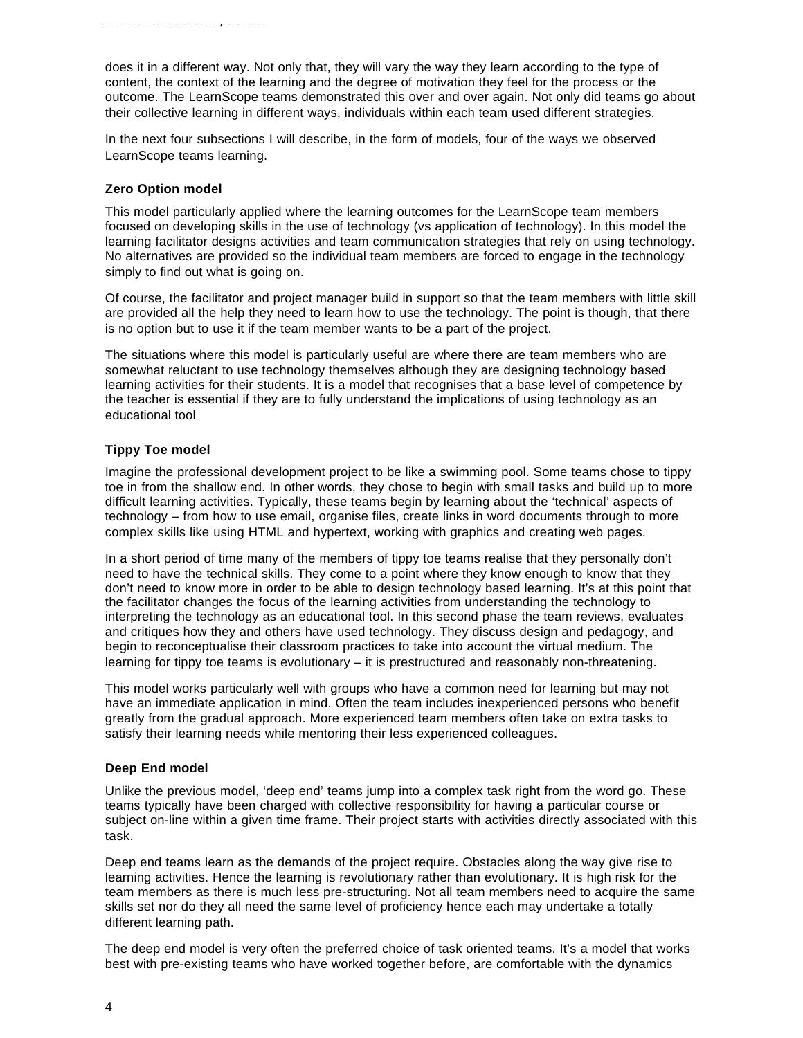does it in a different way. Not only that, they will vary the way they learn according to the type of content, the context of the learning and the degree of motivation they feel for the process or the outcome. The LearnScope teams demonstrated this over and over again. Not only did teams go about their collective learning in different ways, individuals within each team used different strategies.

In the next four subsections I will describe, in the form of models, four of the ways we observed LearnScope teams learning.

#### **Zero Option model**

This model particularly applied where the learning outcomes for the LearnScope team members focused on developing skills in the use of technology (vs application of technology). In this model the learning facilitator designs activities and team communication strategies that rely on using technology. No alternatives are provided so the individual team members are forced to engage in the technology simply to find out what is going on.

Of course, the facilitator and project manager build in support so that the team members with little skill are provided all the help they need to learn how to use the technology. The point is though, that there is no option but to use it if the team member wants to be a part of the project.

The situations where this model is particularly useful are where there are team members who are somewhat reluctant to use technology themselves although they are designing technology based learning activities for their students. It is a model that recognises that a base level of competence by the teacher is essential if they are to fully understand the implications of using technology as an educational tool

#### **Tippy Toe model**

Imagine the professional development project to be like a swimming pool. Some teams chose to tippy toe in from the shallow end. In other words, they chose to begin with small tasks and build up to more difficult learning activities. Typically, these teams begin by learning about the 'technical' aspects of technology – from how to use email, organise files, create links in word documents through to more complex skills like using HTML and hypertext, working with graphics and creating web pages.

In a short period of time many of the members of tippy toe teams realise that they personally don't need to have the technical skills. They come to a point where they know enough to know that they don't need to know more in order to be able to design technology based learning. It's at this point that the facilitator changes the focus of the learning activities from understanding the technology to interpreting the technology as an educational tool. In this second phase the team reviews, evaluates and critiques how they and others have used technology. They discuss design and pedagogy, and begin to reconceptualise their classroom practices to take into account the virtual medium. The learning for tippy toe teams is evolutionary – it is prestructured and reasonably non-threatening.

This model works particularly well with groups who have a common need for learning but may not have an immediate application in mind. Often the team includes inexperienced persons who benefit greatly from the gradual approach. More experienced team members often take on extra tasks to satisfy their learning needs while mentoring their less experienced colleagues.

#### **Deep End model**

Unlike the previous model, 'deep end' teams jump into a complex task right from the word go. These teams typically have been charged with collective responsibility for having a particular course or subject on-line within a given time frame. Their project starts with activities directly associated with this task.

Deep end teams learn as the demands of the project require. Obstacles along the way give rise to learning activities. Hence the learning is revolutionary rather than evolutionary. It is high risk for the team members as there is much less pre-structuring. Not all team members need to acquire the same skills set nor do they all need the same level of proficiency hence each may undertake a totally different learning path.

The deep end model is very often the preferred choice of task oriented teams. It's a model that works best with pre-existing teams who have worked together before, are comfortable with the dynamics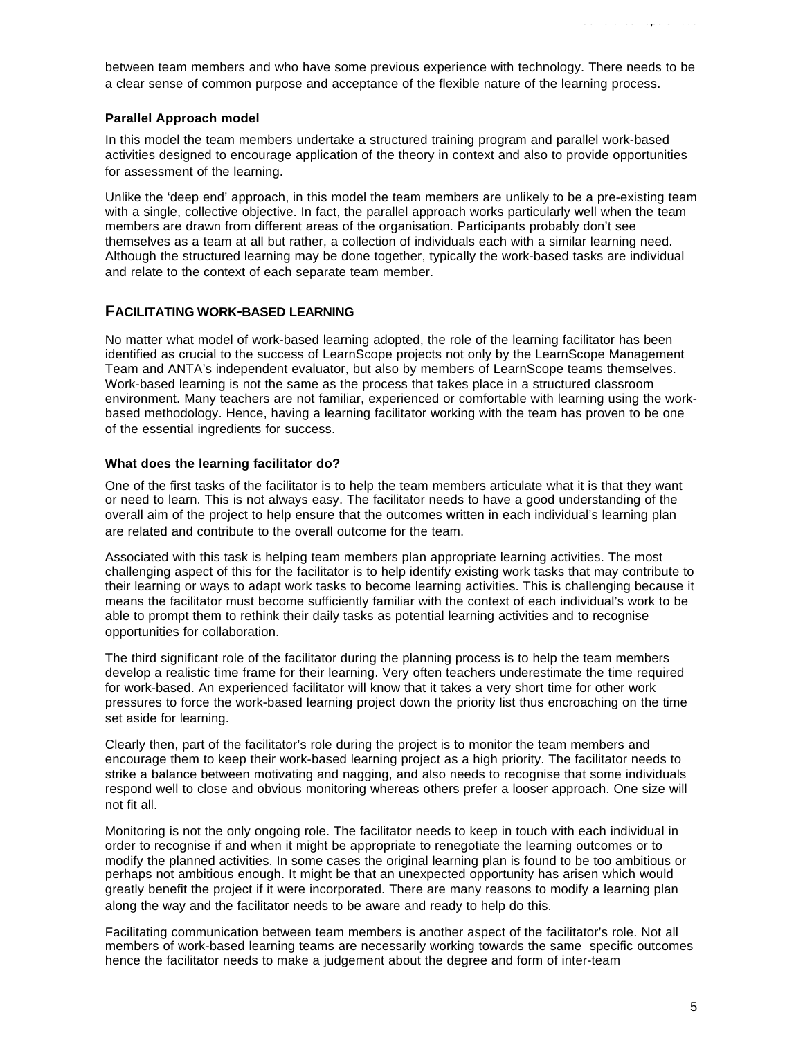between team members and who have some previous experience with technology. There needs to be a clear sense of common purpose and acceptance of the flexible nature of the learning process.

#### **Parallel Approach model**

In this model the team members undertake a structured training program and parallel work-based activities designed to encourage application of the theory in context and also to provide opportunities for assessment of the learning.

Unlike the 'deep end' approach, in this model the team members are unlikely to be a pre-existing team with a single, collective objective. In fact, the parallel approach works particularly well when the team members are drawn from different areas of the organisation. Participants probably don't see themselves as a team at all but rather, a collection of individuals each with a similar learning need. Although the structured learning may be done together, typically the work-based tasks are individual and relate to the context of each separate team member.

### **FACILITATING WORK-BASED LEARNING**

No matter what model of work-based learning adopted, the role of the learning facilitator has been identified as crucial to the success of LearnScope projects not only by the LearnScope Management Team and ANTA's independent evaluator, but also by members of LearnScope teams themselves. Work-based learning is not the same as the process that takes place in a structured classroom environment. Many teachers are not familiar, experienced or comfortable with learning using the workbased methodology. Hence, having a learning facilitator working with the team has proven to be one of the essential ingredients for success.

#### **What does the learning facilitator do?**

One of the first tasks of the facilitator is to help the team members articulate what it is that they want or need to learn. This is not always easy. The facilitator needs to have a good understanding of the overall aim of the project to help ensure that the outcomes written in each individual's learning plan are related and contribute to the overall outcome for the team.

Associated with this task is helping team members plan appropriate learning activities. The most challenging aspect of this for the facilitator is to help identify existing work tasks that may contribute to their learning or ways to adapt work tasks to become learning activities. This is challenging because it means the facilitator must become sufficiently familiar with the context of each individual's work to be able to prompt them to rethink their daily tasks as potential learning activities and to recognise opportunities for collaboration.

The third significant role of the facilitator during the planning process is to help the team members develop a realistic time frame for their learning. Very often teachers underestimate the time required for work-based. An experienced facilitator will know that it takes a very short time for other work pressures to force the work-based learning project down the priority list thus encroaching on the time set aside for learning.

Clearly then, part of the facilitator's role during the project is to monitor the team members and encourage them to keep their work-based learning project as a high priority. The facilitator needs to strike a balance between motivating and nagging, and also needs to recognise that some individuals respond well to close and obvious monitoring whereas others prefer a looser approach. One size will not fit all.

Monitoring is not the only ongoing role. The facilitator needs to keep in touch with each individual in order to recognise if and when it might be appropriate to renegotiate the learning outcomes or to modify the planned activities. In some cases the original learning plan is found to be too ambitious or perhaps not ambitious enough. It might be that an unexpected opportunity has arisen which would greatly benefit the project if it were incorporated. There are many reasons to modify a learning plan along the way and the facilitator needs to be aware and ready to help do this.

Facilitating communication between team members is another aspect of the facilitator's role. Not all members of work-based learning teams are necessarily working towards the same specific outcomes hence the facilitator needs to make a judgement about the degree and form of inter-team